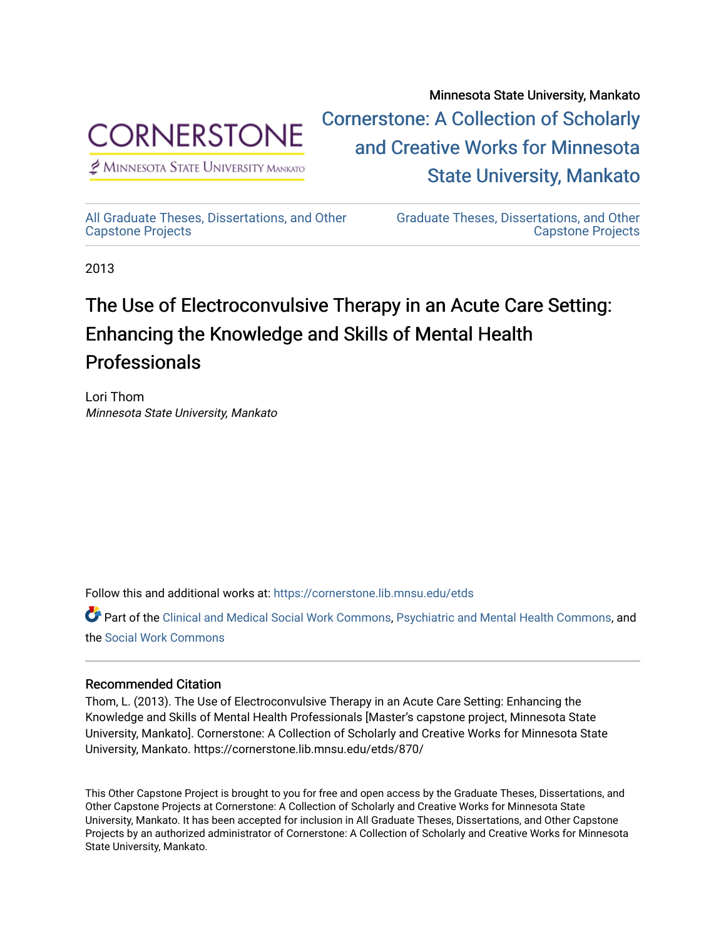

 $<sup>2</sup>$  Minnesota State University Mankato</sup>

Minnesota State University, Mankato [Cornerstone: A Collection of Scholarly](https://cornerstone.lib.mnsu.edu/)  [and Creative Works for Minnesota](https://cornerstone.lib.mnsu.edu/)  [State University, Mankato](https://cornerstone.lib.mnsu.edu/) 

[All Graduate Theses, Dissertations, and Other](https://cornerstone.lib.mnsu.edu/etds)  [Capstone Projects](https://cornerstone.lib.mnsu.edu/etds) 

[Graduate Theses, Dissertations, and Other](https://cornerstone.lib.mnsu.edu/theses_dissertations-capstone)  [Capstone Projects](https://cornerstone.lib.mnsu.edu/theses_dissertations-capstone) 

2013

### The Use of Electroconvulsive Therapy in an Acute Care Setting: Enhancing the Knowledge and Skills of Mental Health Professionals

Lori Thom Minnesota State University, Mankato

Follow this and additional works at: [https://cornerstone.lib.mnsu.edu/etds](https://cornerstone.lib.mnsu.edu/etds?utm_source=cornerstone.lib.mnsu.edu%2Fetds%2F870&utm_medium=PDF&utm_campaign=PDFCoverPages) 

Part of the [Clinical and Medical Social Work Commons,](http://network.bepress.com/hgg/discipline/712?utm_source=cornerstone.lib.mnsu.edu%2Fetds%2F870&utm_medium=PDF&utm_campaign=PDFCoverPages) [Psychiatric and Mental Health Commons,](http://network.bepress.com/hgg/discipline/711?utm_source=cornerstone.lib.mnsu.edu%2Fetds%2F870&utm_medium=PDF&utm_campaign=PDFCoverPages) and the [Social Work Commons](http://network.bepress.com/hgg/discipline/713?utm_source=cornerstone.lib.mnsu.edu%2Fetds%2F870&utm_medium=PDF&utm_campaign=PDFCoverPages) 

### Recommended Citation

Thom, L. (2013). The Use of Electroconvulsive Therapy in an Acute Care Setting: Enhancing the Knowledge and Skills of Mental Health Professionals [Master's capstone project, Minnesota State University, Mankato]. Cornerstone: A Collection of Scholarly and Creative Works for Minnesota State University, Mankato. https://cornerstone.lib.mnsu.edu/etds/870/

This Other Capstone Project is brought to you for free and open access by the Graduate Theses, Dissertations, and Other Capstone Projects at Cornerstone: A Collection of Scholarly and Creative Works for Minnesota State University, Mankato. It has been accepted for inclusion in All Graduate Theses, Dissertations, and Other Capstone Projects by an authorized administrator of Cornerstone: A Collection of Scholarly and Creative Works for Minnesota State University, Mankato.